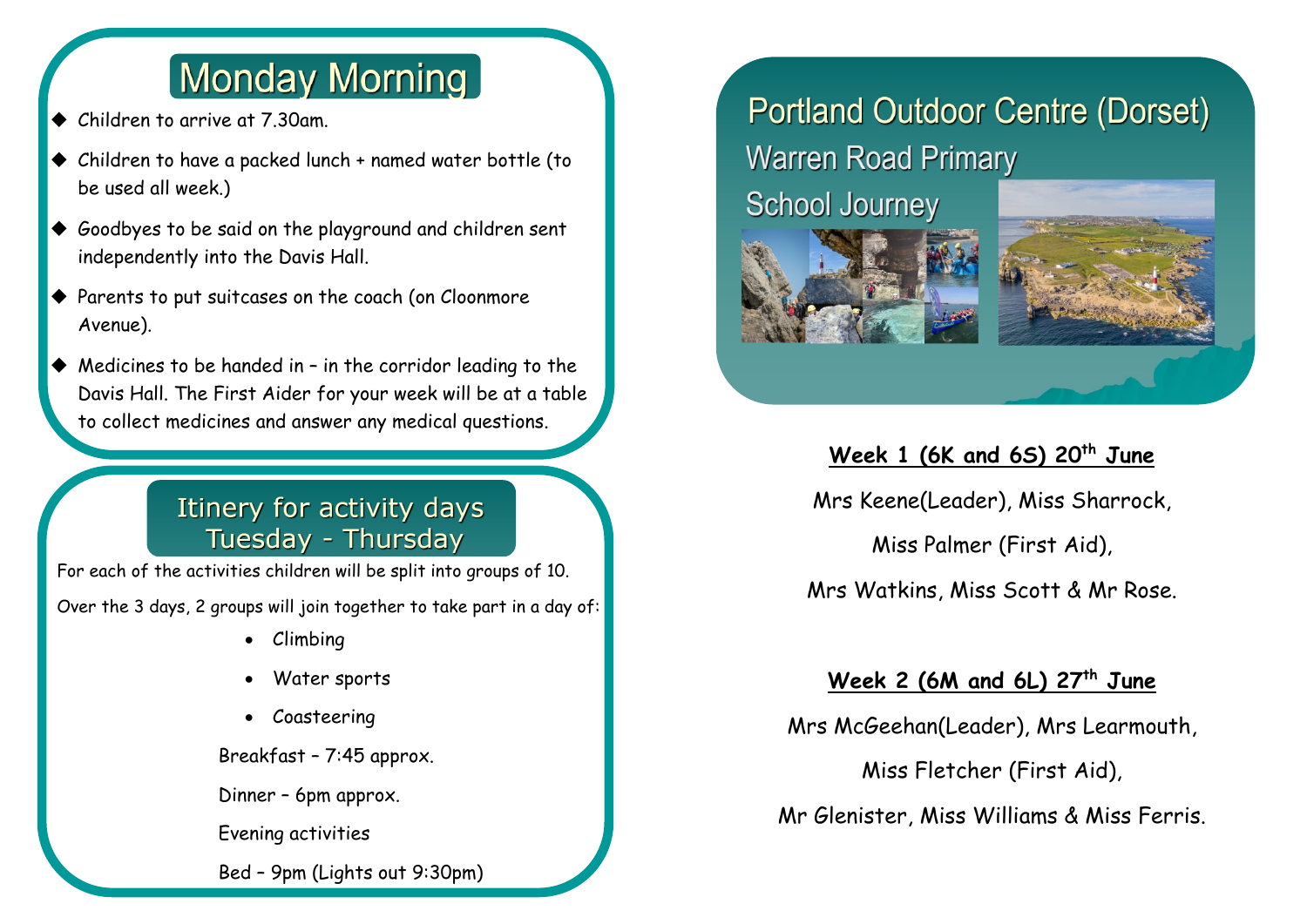# **Monday Morning**

Children to arrive at 7.30am.

ī

- Children to have a packed lunch + named water bottle (to be used all week.)
- Goodbyes to be said on the playground and children sent independently into the Davis Hall.
- $\blacklozenge$  Parents to put suitcases on the coach (on Cloonmore Avenue).
- $\blacklozenge$  Medicines to be handed in in the corridor leading to the Davis Hall. The First Aider for your week will be at a table to collect medicines and answer any medical questions.

## Itinery for activity days Tuesday - Thursday

For each of the activities children will be split into groups of 10.

Over the 3 days, 2 groups will join together to take part in a day of:

- Climbing
- Water sports
- Coasteering

Breakfast – 7:45 approx.

Dinner – 6pm approx.

Evening activities

Bed – 9pm (Lights out 9:30pm)

# **Portland Outdoor Centre (Dorset) Warren Road Primary**

**School Journey** 



## **Week 1 (6K and 6S) 20th June**

Mrs Keene(Leader), Miss Sharrock,

Miss Palmer (First Aid),

Mrs Watkins, Miss Scott & Mr Rose.

### **Week 2 (6M and 6L) 27th June**

Mrs McGeehan(Leader), Mrs Learmouth,

Miss Fletcher (First Aid),

Mr Glenister, Miss Williams & Miss Ferris.